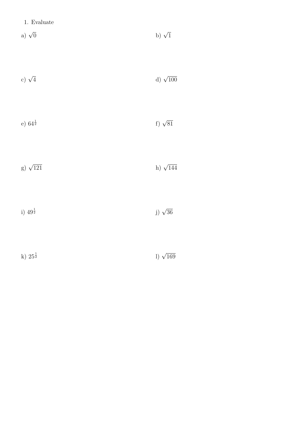- a)  $\sqrt{0}$  $\overline{0}$  b)  $\sqrt{ }$ b)  $\sqrt{1}$
- c)  $\sqrt{4}$  $\frac{1}{4}$  d)  $\sqrt{ }$ d)  $\sqrt{100}$
- e)  $64^{\frac{1}{2}}$  $\frac{1}{2}$  f)  $\sqrt{ }$ f)  $\sqrt{81}$
- g)  $\sqrt{121}$  $\overline{121}$  h)  $\sqrt{ }$ h)  $\sqrt{144}$
- i)  $49^{\frac{1}{2}}$  $\frac{1}{2}$  j)  $\sqrt{ }$ j)  $\sqrt{36}$
- k)  $25^{\frac{1}{2}}$  $\frac{1}{2}$  l)  $\sqrt{ }$ 1)  $\sqrt{169}$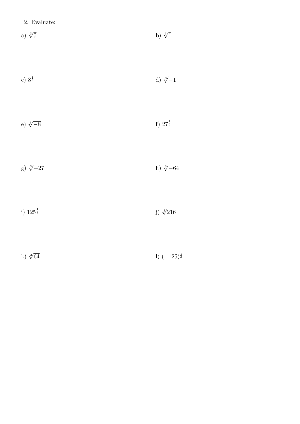| 2. Evaluate: |  |
|--------------|--|
|--------------|--|

a)  $\sqrt[3]{0}$  $\overline{0}$  b)  $\sqrt[3]{ }$ b)  $\sqrt[3]{1}$ 

| c) $8^{\frac{1}{3}}$ | d) $\sqrt[3]{-1}$ |
|----------------------|-------------------|
|                      |                   |

| e) $\sqrt[3]{-8}$ |  | f) $27^{\frac{1}{3}}$ |
|-------------------|--|-----------------------|
|                   |  |                       |

g)  $\sqrt[3]{-27}$  h)  $\sqrt[3]{-64}$ 

i)  $125^{\frac{1}{3}}$  $\frac{1}{3}$  j)  $\sqrt[3]{}$ j)  $\sqrt[3]{216}$ 

k)  $\sqrt[3]{64}$  $\overline{64}$  l)  $(-125)^{\frac{1}{3}}$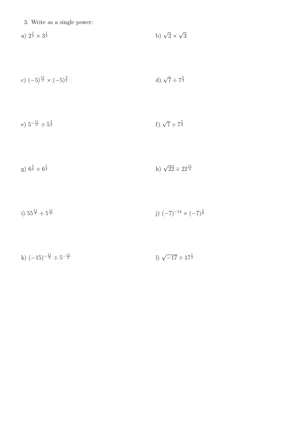3. Write as a single power:

a)  $2^{\frac{1}{2}} \times 3^{\frac{1}{2}}$  $\frac{1}{2}$  b)  $\sqrt{2} \times$ √ 3

c) 
$$
(-5)^{\frac{11}{2}} \times (-5)^{\frac{3}{2}}
$$
 d)  $\sqrt{7} \div 7^{\frac{5}{2}}$ 

e)  $5^{-\frac{11}{2}} \div 5^{\frac{3}{2}}$  $f)$   $\sqrt{7} \div 7^{\frac{5}{2}}$ 

g) 
$$
6^{\frac{5}{6}} \times 6^{\frac{1}{2}}
$$
 h)  $\sqrt{22 \div 22^{\frac{11}{4}}}$ 

i)  $55^{\frac{11}{2}} \div 5^{\frac{11}{2}}$  $j) (-7)^{-14} \times (-7)^{\frac{5}{2}}$ 

k)  $(-15)^{-\frac{11}{2}} \div 5^{-\frac{11}{2}}$  $\frac{11}{2}$  l)  $\sqrt{-17} \div 17^{\frac{1}{2}}$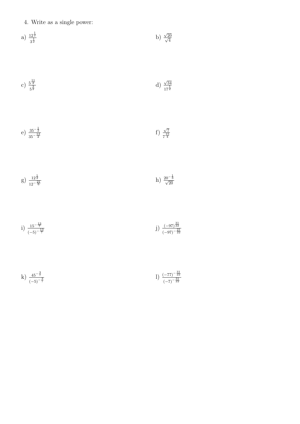4. Write as a single power:

a) 
$$
\frac{12^{\frac{1}{2}}}{3^{\frac{1}{2}}}
$$
 b)  $\frac{\sqrt{20}}{\sqrt{4}}$ 

c) 
$$
\frac{5^{\frac{11}{2}}}{5^{\frac{3}{2}}}
$$
 d)  $\frac{\sqrt{34}}{17^{\frac{1}{2}}}$ 

e)  $\frac{35^{-\frac{1}{2}}}{35^{-\frac{13}{2}}}$ f)  $\sqrt{7}$  $7^{\frac{15}{4}}$ 



i) 
$$
\frac{15^{-\frac{13}{7}}}{(-5)^{-\frac{13}{7}}}
$$
 j)  $\frac{(-97)^{\frac{31}{22}}}{(-97)^{-\frac{33}{22}}}$ 

k)  $\frac{45^{-\frac{3}{7}}}{(-5)^{-\frac{3}{7}}}$ 1)  $\frac{(-77)^{-\frac{31}{22}}}{(-27)^{-\frac{31}{22}}}$  $(-7)^{-\frac{31}{22}}$